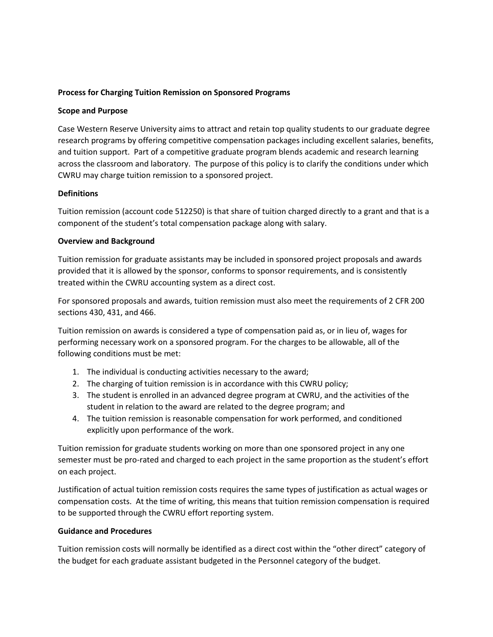# **Process for Charging Tuition Remission on Sponsored Programs**

### **Scope and Purpose**

Case Western Reserve University aims to attract and retain top quality students to our graduate degree research programs by offering competitive compensation packages including excellent salaries, benefits, and tuition support. Part of a competitive graduate program blends academic and research learning across the classroom and laboratory. The purpose of this policy is to clarify the conditions under which CWRU may charge tuition remission to a sponsored project.

## **Definitions**

Tuition remission (account code 512250) is that share of tuition charged directly to a grant and that is a component of the student's total compensation package along with salary.

#### **Overview and Background**

Tuition remission for graduate assistants may be included in sponsored project proposals and awards provided that it is allowed by the sponsor, conforms to sponsor requirements, and is consistently treated within the CWRU accounting system as a direct cost.

For sponsored proposals and awards, tuition remission must also meet the requirements of 2 CFR 200 sections 430, 431, and 466.

Tuition remission on awards is considered a type of compensation paid as, or in lieu of, wages for performing necessary work on a sponsored program. For the charges to be allowable, all of the following conditions must be met:

- 1. The individual is conducting activities necessary to the award;
- 2. The charging of tuition remission is in accordance with this CWRU policy;
- 3. The student is enrolled in an advanced degree program at CWRU, and the activities of the student in relation to the award are related to the degree program; and
- 4. The tuition remission is reasonable compensation for work performed, and conditioned explicitly upon performance of the work.

Tuition remission for graduate students working on more than one sponsored project in any one semester must be pro-rated and charged to each project in the same proportion as the student's effort on each project.

Justification of actual tuition remission costs requires the same types of justification as actual wages or compensation costs. At the time of writing, this means that tuition remission compensation is required to be supported through the CWRU effort reporting system.

## **Guidance and Procedures**

Tuition remission costs will normally be identified as a direct cost within the "other direct" category of the budget for each graduate assistant budgeted in the Personnel category of the budget.